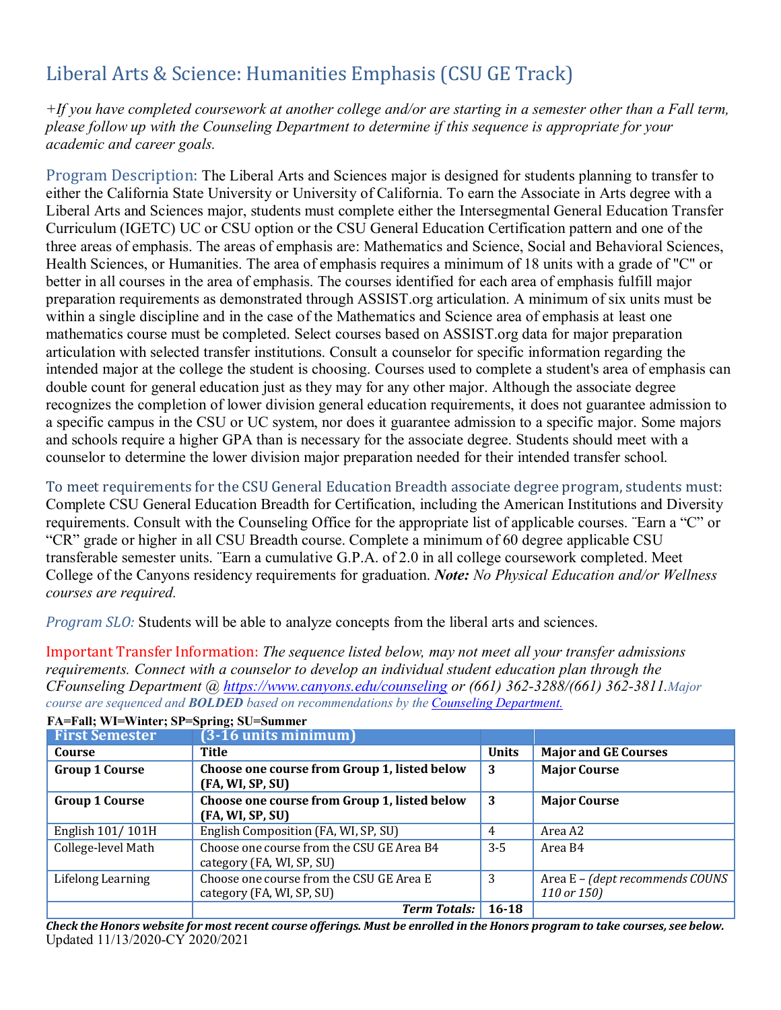## Liberal Arts & Science: Humanities Emphasis (CSU GE Track)

*+If you have completed coursework at another college and/or are starting in a semester other than a Fall term, please follow up with the Counseling Department to determine if this sequence is appropriate for your academic and career goals.*

Program Description: The Liberal Arts and Sciences major is designed for students planning to transfer to either the California State University or University of California. To earn the Associate in Arts degree with a Liberal Arts and Sciences major, students must complete either the Intersegmental General Education Transfer Curriculum (IGETC) UC or CSU option or the CSU General Education Certification pattern and one of the three areas of emphasis. The areas of emphasis are: Mathematics and Science, Social and Behavioral Sciences, Health Sciences, or Humanities. The area of emphasis requires a minimum of 18 units with a grade of "C" or better in all courses in the area of emphasis. The courses identified for each area of emphasis fulfill major preparation requirements as demonstrated through ASSIST.org articulation. A minimum of six units must be within a single discipline and in the case of the Mathematics and Science area of emphasis at least one mathematics course must be completed. Select courses based on ASSIST.org data for major preparation articulation with selected transfer institutions. Consult a counselor for specific information regarding the intended major at the college the student is choosing. Courses used to complete a student's area of emphasis can double count for general education just as they may for any other major. Although the associate degree recognizes the completion of lower division general education requirements, it does not guarantee admission to a specific campus in the CSU or UC system, nor does it guarantee admission to a specific major. Some majors and schools require a higher GPA than is necessary for the associate degree. Students should meet with a counselor to determine the lower division major preparation needed for their intended transfer school.

To meet requirements for the CSU General Education Breadth associate degree program, students must: Complete CSU General Education Breadth for Certification, including the American Institutions and Diversity requirements. Consult with the Counseling Office for the appropriate list of applicable courses. ¨Earn a "C" or "CR" grade or higher in all CSU Breadth course. Complete a minimum of 60 degree applicable CSU transferable semester units. ¨Earn a cumulative G.P.A. of 2.0 in all college coursework completed. Meet College of the Canyons residency requirements for graduation. *Note: No Physical Education and/or Wellness courses are required.*

*Program SLO:* Students will be able to analyze concepts from the liberal arts and sciences.

Important Transfer Information: *The sequence listed below, may not meet all your transfer admissions requirements. Connect with a counselor to develop an individual student education plan through the CFounseling Department @ https:/[/www.canyons.edu/counseling](http://www.canyons.edu/counseling) or (661) 362-3288/(661) 362-3811.Major course are sequenced and BOLDED based on recommendations by the Counseling Department.*

| <b>First Semester</b> | (3-16 units minimum)                         |              |                                 |
|-----------------------|----------------------------------------------|--------------|---------------------------------|
| Course                | Title                                        | <b>Units</b> | <b>Major and GE Courses</b>     |
| <b>Group 1 Course</b> | Choose one course from Group 1, listed below | 3            | <b>Major Course</b>             |
|                       | (FA, WI, SP, SU)                             |              |                                 |
| <b>Group 1 Course</b> | Choose one course from Group 1, listed below | 3            | <b>Major Course</b>             |
|                       | (FA, WI, SP, SU)                             |              |                                 |
| English 101/101H      | English Composition (FA, WI, SP, SU)         | 4            | Area A2                         |
| College-level Math    | Choose one course from the CSU GE Area B4    | $3-5$        | Area B4                         |
|                       | category (FA, WI, SP, SU)                    |              |                                 |
| Lifelong Learning     | Choose one course from the CSU GE Area E     | 3            | Area E - (dept recommends COUNS |
|                       | category (FA, WI, SP, SU)                    |              | 110 or 150)                     |
|                       | <b>Term Totals:</b>                          | $16 - 18$    |                                 |

**FA=Fall; WI=Winter; SP=Spring; SU=Summer**

Updated 11/13/2020-CY 2020/2021 Check the Honors website for most recent course offerings. Must be enrolled in the Honors program to take courses, see below.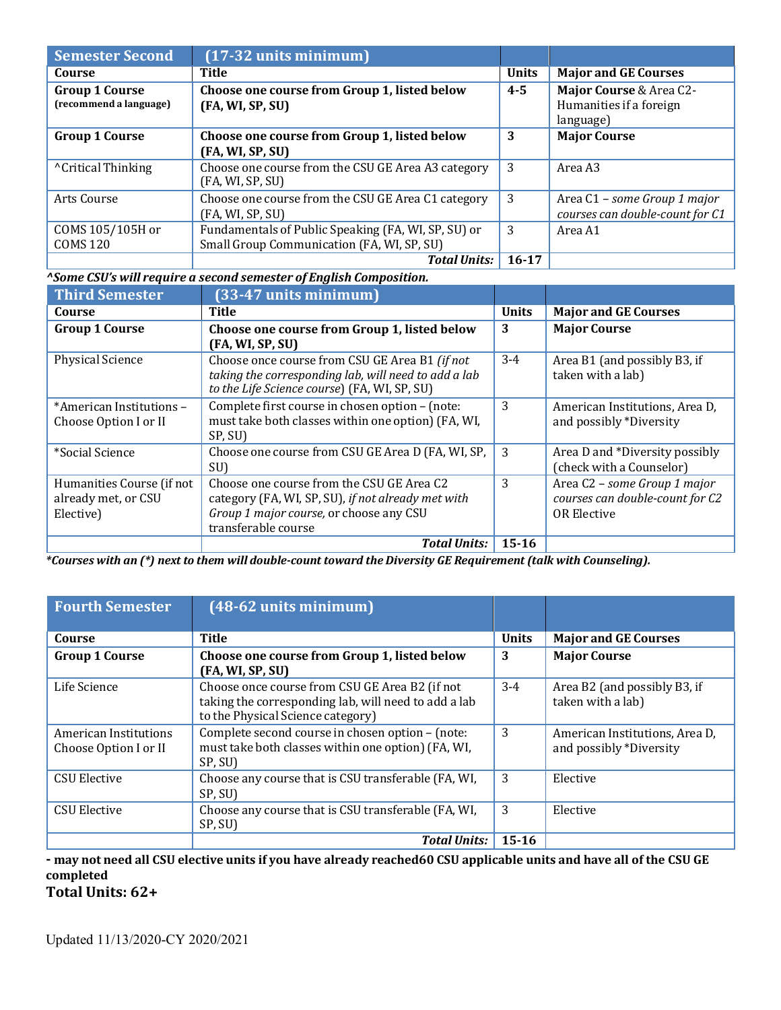| <b>Semester Second</b>                          | $(17-32 \text{ units minimum})$                                                                   |              |                                                                 |
|-------------------------------------------------|---------------------------------------------------------------------------------------------------|--------------|-----------------------------------------------------------------|
| Course                                          | Title                                                                                             | <b>Units</b> | <b>Major and GE Courses</b>                                     |
| <b>Group 1 Course</b><br>(recommend a language) | Choose one course from Group 1, listed below<br>(FA, WI, SP, SU)                                  | $4 - 5$      | Major Course & Area C2-<br>Humanities if a foreign<br>language) |
| <b>Group 1 Course</b>                           | Choose one course from Group 1, listed below<br>(FA, WI, SP, SU)                                  | 3            | <b>Major Course</b>                                             |
| <sup>^</sup> Critical Thinking                  | Choose one course from the CSU GE Area A3 category<br>(FA, WI, SP, SU)                            | 3            | Area A3                                                         |
| Arts Course                                     | Choose one course from the CSU GE Area C1 category<br>(FA, WI, SP, SU)                            | 3            | Area C1 - some Group 1 major<br>courses can double-count for C1 |
| COMS 105/105H or<br><b>COMS 120</b>             | Fundamentals of Public Speaking (FA, WI, SP, SU) or<br>Small Group Communication (FA, WI, SP, SU) | 3            | Area A1                                                         |
|                                                 | <b>Total Units:</b>                                                                               | 16-17        |                                                                 |

*^Some CSU's will require a second semester of English Composition.*

| <b>Third Semester</b>                                         | (33-47 units minimum)                                                                                                                                             |              |                                                                                       |
|---------------------------------------------------------------|-------------------------------------------------------------------------------------------------------------------------------------------------------------------|--------------|---------------------------------------------------------------------------------------|
| Course                                                        | Title                                                                                                                                                             | <b>Units</b> | <b>Major and GE Courses</b>                                                           |
| <b>Group 1 Course</b>                                         | Choose one course from Group 1, listed below<br>(FA, WI, SP, SU)                                                                                                  | 3            | <b>Major Course</b>                                                                   |
| <b>Physical Science</b>                                       | Choose once course from CSU GE Area B1 (if not<br>taking the corresponding lab, will need to add a lab<br>to the Life Science course) (FA, WI, SP, SU)            | $3 - 4$      | Area B1 (and possibly B3, if<br>taken with a lab)                                     |
| *American Institutions -<br>Choose Option I or II             | Complete first course in chosen option - (note:<br>must take both classes within one option) (FA, WI,<br>SP, SU)                                                  | 3            | American Institutions, Area D,<br>and possibly *Diversity                             |
| *Social Science                                               | Choose one course from CSU GE Area D (FA, WI, SP,<br>SU)                                                                                                          | 3            | Area D and *Diversity possibly<br>(check with a Counselor)                            |
| Humanities Course (if not<br>already met, or CSU<br>Elective) | Choose one course from the CSU GE Area C2<br>category (FA, WI, SP, SU), if not already met with<br>Group 1 major course, or choose any CSU<br>transferable course | 3            | Area C2 - some Group 1 major<br>courses can double-count for C2<br><b>OR Elective</b> |
|                                                               | <b>Total Units:</b>                                                                                                                                               | $15 - 16$    |                                                                                       |

\*Courses with an (\*) next to them will double-count toward the Diversity GE Requirement (talk with Counseling).

| <b>Fourth Semester</b>                         | $(48-62$ units minimum)                                                                                                                     |              |                                                           |
|------------------------------------------------|---------------------------------------------------------------------------------------------------------------------------------------------|--------------|-----------------------------------------------------------|
| Course                                         | <b>Title</b>                                                                                                                                | <b>Units</b> | <b>Major and GE Courses</b>                               |
| <b>Group 1 Course</b>                          | Choose one course from Group 1, listed below<br>(FA, WI, SP, SU)                                                                            | 3            | <b>Major Course</b>                                       |
| Life Science                                   | Choose once course from CSU GE Area B2 (if not<br>taking the corresponding lab, will need to add a lab<br>to the Physical Science category) | $3 - 4$      | Area B2 (and possibly B3, if<br>taken with a lab)         |
| American Institutions<br>Choose Option I or II | Complete second course in chosen option - (note:<br>must take both classes within one option) (FA, WI,<br>SP, SU)                           | 3            | American Institutions, Area D,<br>and possibly *Diversity |
| <b>CSU Elective</b>                            | Choose any course that is CSU transferable (FA, WI,<br>SP, SU)                                                                              | 3            | Elective                                                  |
| <b>CSU Elective</b>                            | Choose any course that is CSU transferable (FA, WI,<br>SP, SU)                                                                              | 3            | Elective                                                  |
|                                                | <b>Total Units:</b>                                                                                                                         | $15 - 16$    |                                                           |

- may not need all CSU elective units if you have already reached 60 CSU applicable units and have all of the CSU GE **completed**

**Total Units: 62+**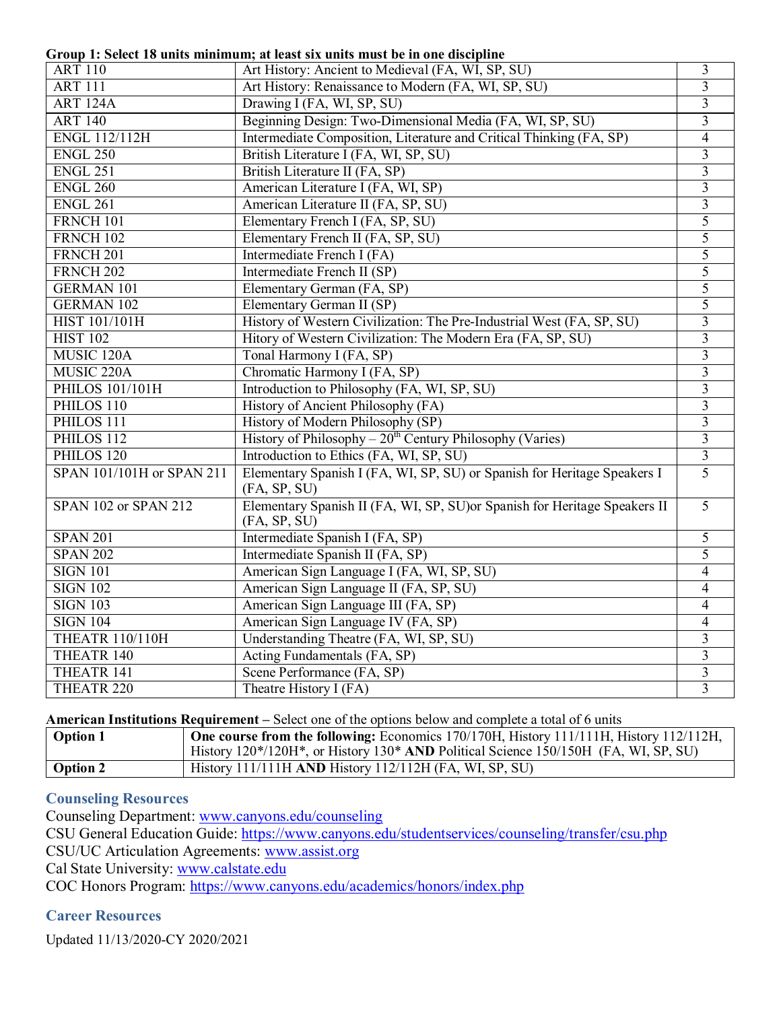**Group 1: Select 18 units minimum; at least six units must be in one discipline**

|                           | Group 1: Select 18 units minimum; at least six units must be in one discipline             |                         |
|---------------------------|--------------------------------------------------------------------------------------------|-------------------------|
| <b>ART 110</b>            | Art History: Ancient to Medieval (FA, WI, SP, SU)                                          | 3                       |
| <b>ART 111</b>            | Art History: Renaissance to Modern (FA, WI, SP, SU)                                        | $\overline{3}$          |
| <b>ART 124A</b>           | Drawing I (FA, WI, SP, SU)                                                                 | 3                       |
| <b>ART 140</b>            | Beginning Design: Two-Dimensional Media (FA, WI, SP, SU)                                   | $\overline{3}$          |
| <b>ENGL 112/112H</b>      | Intermediate Composition, Literature and Critical Thinking (FA, SP)                        | 4                       |
| <b>ENGL 250</b>           | British Literature I (FA, WI, SP, SU)                                                      | $\overline{\mathbf{3}}$ |
| <b>ENGL 251</b>           | British Literature II (FA, SP)                                                             | $\overline{3}$          |
| <b>ENGL 260</b>           | American Literature I (FA, WI, SP)                                                         | $\overline{3}$          |
| <b>ENGL 261</b>           | American Literature II (FA, SP, SU)                                                        | 3                       |
| FRNCH 101                 | Elementary French I (FA, SP, SU)                                                           | 5                       |
| <b>FRNCH 102</b>          | Elementary French II (FA, SP, SU)                                                          | 5                       |
| FRNCH <sub>201</sub>      | Intermediate French I (FA)                                                                 | 5                       |
| FRNCH <sub>202</sub>      | Intermediate French II (SP)                                                                | 5                       |
| <b>GERMAN 101</b>         | Elementary German (FA, SP)                                                                 | 5                       |
| <b>GERMAN 102</b>         | Elementary German II (SP)                                                                  | 5                       |
| <b>HIST 101/101H</b>      | History of Western Civilization: The Pre-Industrial West (FA, SP, SU)                      | $\overline{3}$          |
| <b>HIST 102</b>           | Hitory of Western Civilization: The Modern Era (FA, SP, SU)                                | $\overline{3}$          |
| MUSIC <sub>120A</sub>     | Tonal Harmony I (FA, SP)                                                                   | $\overline{\mathbf{3}}$ |
| MUSIC 220A                | Chromatic Harmony I (FA, SP)                                                               | 3                       |
| <b>PHILOS 101/101H</b>    | Introduction to Philosophy (FA, WI, SP, SU)                                                | $\overline{3}$          |
| PHILOS 110                | History of Ancient Philosophy (FA)                                                         | $\overline{3}$          |
| PHILOS 111                | History of Modern Philosophy (SP)                                                          | $\overline{3}$          |
| PHILOS 112                | History of Philosophy - $20^{th}$ Century Philosophy (Varies)                              | $\overline{3}$          |
| PHILOS <sub>120</sub>     | Introduction to Ethics (FA, WI, SP, SU)                                                    | $\overline{3}$          |
| SPAN 101/101H or SPAN 211 | Elementary Spanish I (FA, WI, SP, SU) or Spanish for Heritage Speakers I<br>(FA, SP, SU)   | $\overline{5}$          |
| SPAN 102 or SPAN 212      | Elementary Spanish II (FA, WI, SP, SU) or Spanish for Heritage Speakers II<br>(FA, SP, SU) | $\overline{5}$          |
| <b>SPAN 201</b>           | Intermediate Spanish I (FA, SP)                                                            | 5                       |
| <b>SPAN 202</b>           | Intermediate Spanish II (FA, SP)                                                           | 5                       |
| <b>SIGN 101</b>           | American Sign Language I (FA, WI, SP, SU)                                                  | 4                       |
| <b>SIGN 102</b>           | American Sign Language II (FA, SP, SU)                                                     | 4                       |
| <b>SIGN 103</b>           | American Sign Language III (FA, SP)                                                        | 4                       |
| <b>SIGN 104</b>           | American Sign Language IV (FA, SP)                                                         | 4                       |
| <b>THEATR 110/110H</b>    | Understanding Theatre (FA, WI, SP, SU)                                                     | 3                       |
| THEATR 140                | Acting Fundamentals (FA, SP)                                                               | $\overline{3}$          |
| THEATR 141                | Scene Performance (FA, SP)                                                                 | 3                       |
| THEATR <sub>220</sub>     | Theatre History I (FA)                                                                     | $\overline{3}$          |

**American Institutions Requirement –** Select one of the options below and complete a total of 6 units

| <b>Option 1</b> | One course from the following: Economics 170/170H, History 111/111H, History 112/112H, |
|-----------------|----------------------------------------------------------------------------------------|
|                 | History 120*/120H*, or History 130* AND Political Science 150/150H (FA, WI, SP, SU)    |
| Option 2        | History $111/111H$ AND History $112/112H$ (FA, WI, SP, SU)                             |

## **Counseling Resources**

Counseling Department: [www.canyons.edu/counseling](http://www.canyons.edu/counseling)

CSU General Education Guide: https:/[/www.canyons.edu/studentservices/counseling/transfer/csu.php](http://www.canyons.edu/studentservices/counseling/transfer/csu.php)

CSU/UC Articulation Agreements: [www.assist.org](http://www.assist.org/)

Cal State University: [www.calstate.edu](http://www.calstate.edu/)

COC Honors Program: https:/[/www.canyons.edu/academics/honors/index.php](http://www.canyons.edu/academics/honors/index.php)

## **Career Resources**

Updated 11/13/2020-CY 2020/2021